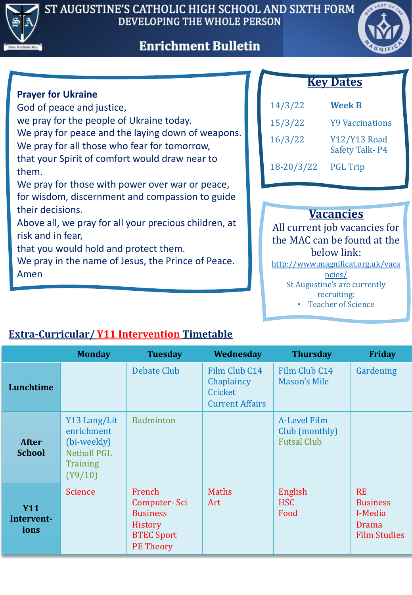





#### **Prayer for Ukraine**

God of peace and justice, we pray for the people of Ukraine today. We pray for peace and the laying down of weapons. We pray for all those who fear for tomorrow, that your Spirit of comfort would draw near to them.

We pray for those with power over war or peace, for wisdom, discernment and compassion to guide their decisions.

Above all, we pray for all your precious children, at risk and in fear,

that you would hold and protect them.

We pray in the name of Jesus, the Prince of Peace. Amen

### **Key Dates**

| 14/3/22    | <b>Week B</b>                                |
|------------|----------------------------------------------|
| 15/3/22    | <b>Y9 Vaccinations</b>                       |
| 16/3/22    | <b>Y12/Y13 Road</b><br><b>Safety Talk-P4</b> |
| 18-20/3/22 | <b>PGL Trip</b>                              |

## **Vacancies**

All current job vacancies for the MAC can be found at the below link:

[http://www.magnificat.org.uk/vaca](http://www.magnificat.org.uk/vacancies/)

ncies/ St Augustine's are currently

recruiting:

Teacher of Science •

|                                  | <b>Monday</b>                                                                          | <b>Tuesday</b>                                                                                | Wednesday                                                        | <b>Thursday</b>                                      | <b>Friday</b>                                                           |
|----------------------------------|----------------------------------------------------------------------------------------|-----------------------------------------------------------------------------------------------|------------------------------------------------------------------|------------------------------------------------------|-------------------------------------------------------------------------|
| Lunchtime                        |                                                                                        | <b>Debate Club</b>                                                                            | Film Club C14<br>Chaplaincy<br>Cricket<br><b>Current Affairs</b> | Film Club C14<br><b>Mason's Mile</b>                 | Gardening                                                               |
| <b>After</b><br><b>School</b>    | Y13 Lang/Lit<br>enrichment<br>(bi-weekly)<br><b>Netball PGL</b><br>Training<br>(Y9/10) | <b>Badminton</b>                                                                              |                                                                  | A-Level Film<br>Club (monthly)<br><b>Futsal Club</b> |                                                                         |
| <b>Y11</b><br>Intervent-<br>ions | <b>Science</b>                                                                         | French<br>Computer-Sci<br><b>Business</b><br>History<br><b>BTEC Sport</b><br><b>PE Theory</b> | <b>Maths</b><br>Art                                              | English<br><b>HSC</b><br>Food                        | <b>RE</b><br><b>Business</b><br>I-Media<br>Drama<br><b>Film Studies</b> |

## **Extra-Curricular/ Y11 Intervention Timetable**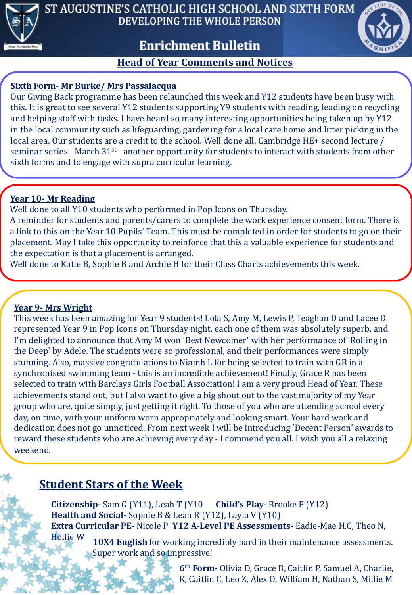

ST AUGUSTINE'S CATHOLIC HIGH SCHOOL AND SIXTH FORM DEVELOPING THE WHOLE PERSON

# **Enrichment Bulletin**



#### **Head of Year Comments and Notices**

#### **Sixth Form- Mr Burke/ Mrs Passalacqua**

Our Giving Back programme has been relaunched this week and Y12 students have been busy with this. It is great to see several Y12 students supporting Y9 students with reading, leading on recycling and helping staff with tasks. I have heard so many interesting opportunities being taken up by Y12 in the local community such as lifeguarding, gardening for a local care home and litter picking in the local area. Our students are a credit to the school. Well done all. Cambridge HE+ second lecture / seminar series - March  $31^{st}$  - another opportunity for students to interact with students from other sixth forms and to engage with supra curricular learning.

### **Year 10- Mr Reading**

Well done to all Y10 students who performed in Pop Icons on Thursday.

A reminder for students and parents/carers to complete the work experience consent form. There is a link to this on the Year 10 Pupils' Team. This must be completed in order for students to go on their placement. May I take this opportunity to reinforce that this a valuable experience for students and the expectation is that a placement is arranged.

Well done to Katie B, Sophie B and Archie H for their Class Charts achievements this week.

#### **Year 9- Mrs Wright**

This week has been amazing for Year 9 students! Lola S, Amy M, Lewis P, Teaghan D and Lacee D represented Year 9 in Pop Icons on Thursday night. each one of them was absolutely superb, and I'm delighted to announce that Amy M won 'Best Newcomer' with her performance of 'Rolling in the Deep' by Adele. The students were so professional, and their performances were simply stunning. Also, massive congratulations to Niamh L for being selected to train with GB in a synchronised swimming team - this is an incredible achievement! Finally, Grace R has been selected to train with Barclays Girls Football Association! I am a very proud Head of Year. These achievements stand out, but I also want to give a big shout out to the vast majority of my Year group who are, quite simply, just getting it right. To those of you who are attending school every day, on time, with your uniform worn appropriately and looking smart. Your hard work and dedication does not go unnoticed. From next week I will be introducing 'Decent Person' awards to reward these students who are achieving every day - I commend you all. I wish you all a relaxing weekend. 

# **Student Stars of the Week**

**10X4 English** for working incredibly hard in their maintenance assessments. **Citizenship-** Sam G (Y11), Leah T (Y10 **Child's Play-** Brooke P (Y12) **Health and Social-** Sophie B & Leah R (Y12), Layla V (Y10) **Extra Curricular PE-** Nicole P **Y12 A-Level PE Assessments-** Eadie-Mae H.C, Theo N, Hollie W

Super work and so impressive!

**6<sup>th</sup> Form-** Olivia D, Grace B, Caitlin P, Samuel A, Charlie, K, Caitlin C, Leo Z, Alex O, William H, Nathan S, Millie M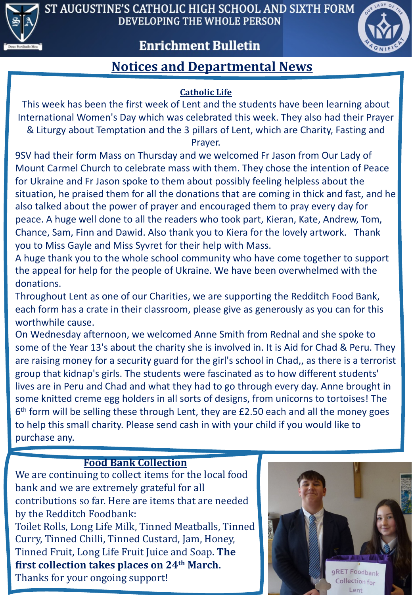

ST AUGUSTINE'S CATHOLIC HIGH SCHOOL AND SIXTH FORM DEVELOPING THE WHOLE PERSON

## **Enrichment Bulletin**



# **Notices and Departmental News**

### **Catholic Life**

This week has been the first week of Lent and the students have been learning about International Women's Day which was celebrated this week. They also had their Prayer & Liturgy about Temptation and the 3 pillars of Lent, which are Charity, Fasting and

Prayer.

9SV had their form Mass on Thursday and we welcomed Fr Jason from Our Lady of Mount Carmel Church to celebrate mass with them. They chose the intention of Peace for Ukraine and Fr Jason spoke to them about possibly feeling helpless about the situation, he praised them for all the donations that are coming in thick and fast, and he also talked about the power of prayer and encouraged them to pray every day for peace. A huge well done to all the readers who took part, Kieran, Kate, Andrew, Tom, Chance, Sam, Finn and Dawid. Also thank you to Kiera for the lovely artwork. Thank you to Miss Gayle and Miss Syvret for their help with Mass.

A huge thank you to the whole school community who have come together to support the appeal for help for the people of Ukraine. We have been overwhelmed with the donations.

Throughout Lent as one of our Charities, we are supporting the Redditch Food Bank, each form has a crate in their classroom, please give as generously as you can for this worthwhile cause.

On Wednesday afternoon, we welcomed Anne Smith from Rednal and she spoke to some of the Year 13's about the charity she is involved in. It is Aid for Chad & Peru. They are raising money for a security guard for the girl's school in Chad,, as there is a terrorist group that kidnap's girls. The students were fascinated as to how different students' lives are in Peru and Chad and what they had to go through every day. Anne brought in some knitted creme egg holders in all sorts of designs, from unicorns to tortoises! The  $6<sup>th</sup>$  form will be selling these through Lent, they are £2.50 each and all the money goes to help this small charity. Please send cash in with your child if you would like to purchase any.

### **Food Bank Collection**

We are continuing to collect items for the local food bank and we are extremely grateful for all contributions so far. Here are items that are needed by the Redditch Foodbank:

Toilet Rolls, Long Life Milk, Tinned Meatballs, Tinned Curry, Tinned Chilli, Tinned Custard, Jam, Honey, Tinned Fruit, Long Life Fruit Juice and Soap. The **first collection takes places on 24<sup>th</sup> March.** Thanks for your ongoing support!